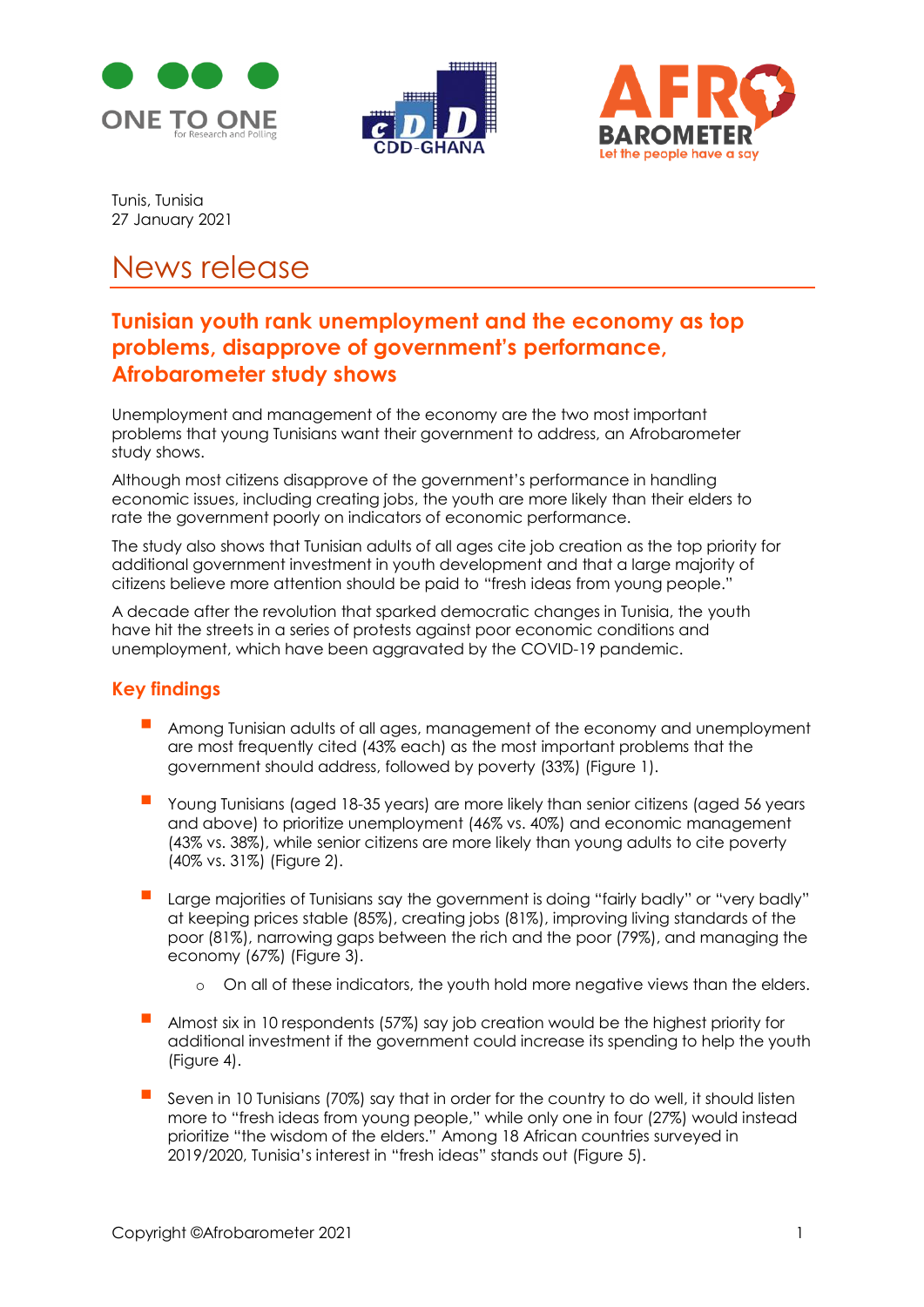





Tunis, Tunisia 27 January 2021

# News release

## **Tunisian youth rank unemployment and the economy as top problems, disapprove of government's performance, Afrobarometer study shows**

Unemployment and management of the economy are the two most important problems that young Tunisians want their government to address, an Afrobarometer study shows.

Although most citizens disapprove of the government's performance in handling economic issues, including creating jobs, the youth are more likely than their elders to rate the government poorly on indicators of economic performance.

The study also shows that Tunisian adults of all ages cite job creation as the top priority for additional government investment in youth development and that a large majority of citizens believe more attention should be paid to "fresh ideas from young people."

A decade after the revolution that sparked democratic changes in Tunisia, the youth have hit the streets in a series of protests against poor economic conditions and unemployment, which have been aggravated by the COVID-19 pandemic.

## **Key findings**

- Among Tunisian adults of all ages, management of the economy and unemployment are most frequently cited (43% each) as the most important problems that the government should address, followed by poverty (33%) (Figure 1).
- Young Tunisians (aged 18-35 years) are more likely than senior citizens (aged 56 years and above) to prioritize unemployment (46% vs. 40%) and economic management (43% vs. 38%), while senior citizens are more likely than young adults to cite poverty (40% vs. 31%) (Figure 2).
- Large majorities of Tunisians say the government is doing "fairly badly" or "very badly" at keeping prices stable (85%), creating jobs (81%), improving living standards of the poor (81%), narrowing gaps between the rich and the poor (79%), and managing the economy (67%) (Figure 3).
	- o On all of these indicators, the youth hold more negative views than the elders.
- Almost six in 10 respondents (57%) say job creation would be the highest priority for additional investment if the government could increase its spending to help the youth (Figure 4).
- Seven in 10 Tunisians (70%) say that in order for the country to do well, it should listen more to "fresh ideas from young people," while only one in four (27%) would instead prioritize "the wisdom of the elders." Among 18 African countries surveyed in 2019/2020, Tunisia's interest in "fresh ideas" stands out (Figure 5).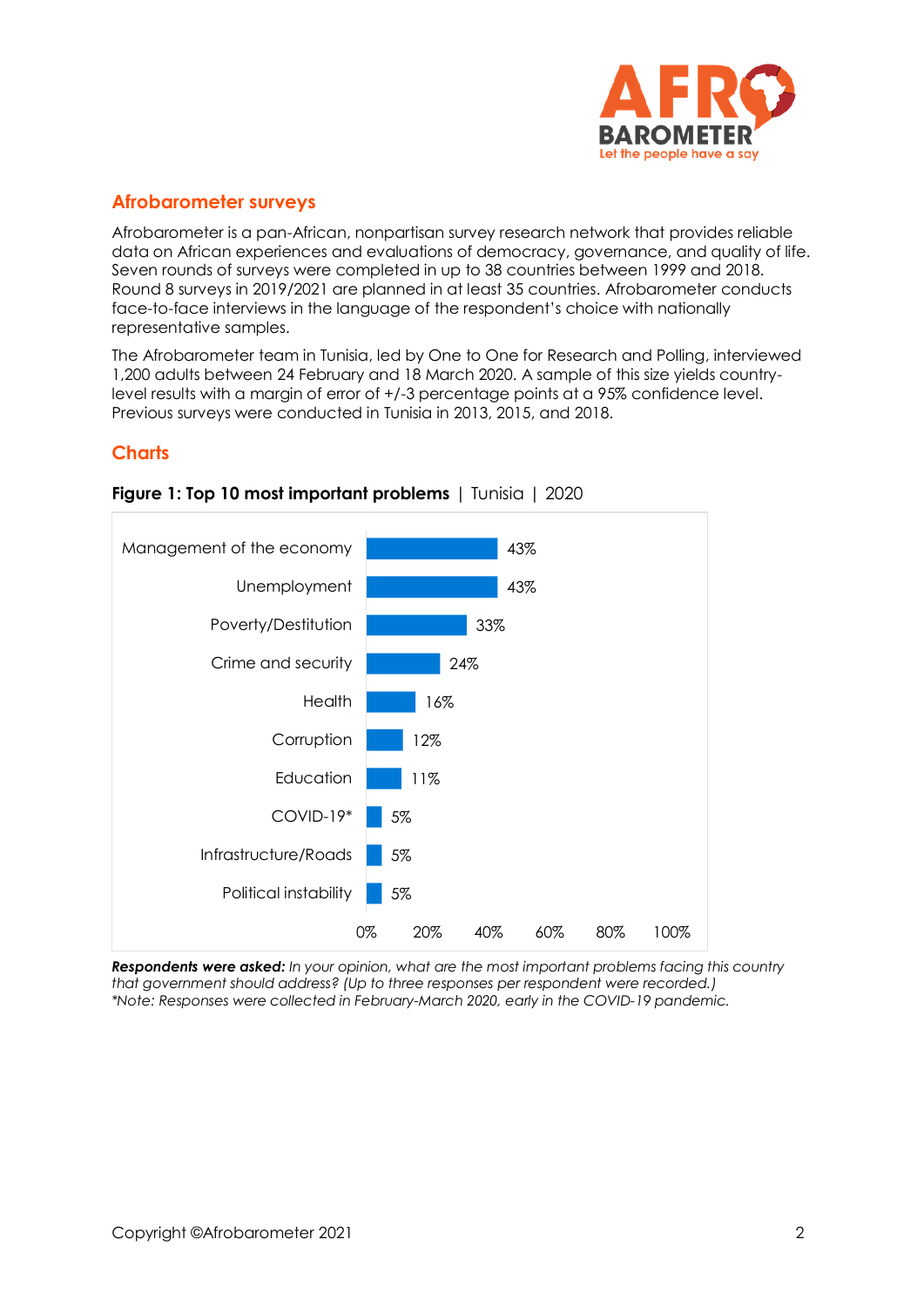

## **Afrobarometer surveys**

Afrobarometer is a pan-African, nonpartisan survey research network that provides reliable data on African experiences and evaluations of democracy, governance, and quality of life. Seven rounds of surveys were completed in up to 38 countries between 1999 and 2018. Round 8 surveys in 2019/2021 are planned in at least 35 countries. Afrobarometer conducts face-to-face interviews in the language of the respondent's choice with nationally representative samples.

The Afrobarometer team in Tunisia, led by One to One for Research and Polling, interviewed 1,200 adults between 24 February and 18 March 2020. A sample of this size yields countrylevel results with a margin of error of +/-3 percentage points at a 95% confidence level. Previous surveys were conducted in Tunisia in 2013, 2015, and 2018.

#### **Charts**



## **Figure 1: Top 10 most important problems** | Tunisia | 2020

*Respondents were asked: In your opinion, what are the most important problems facing this country that government should address? (Up to three responses per respondent were recorded.) \*Note: Responses were collected in February-March 2020, early in the COVID-19 pandemic.*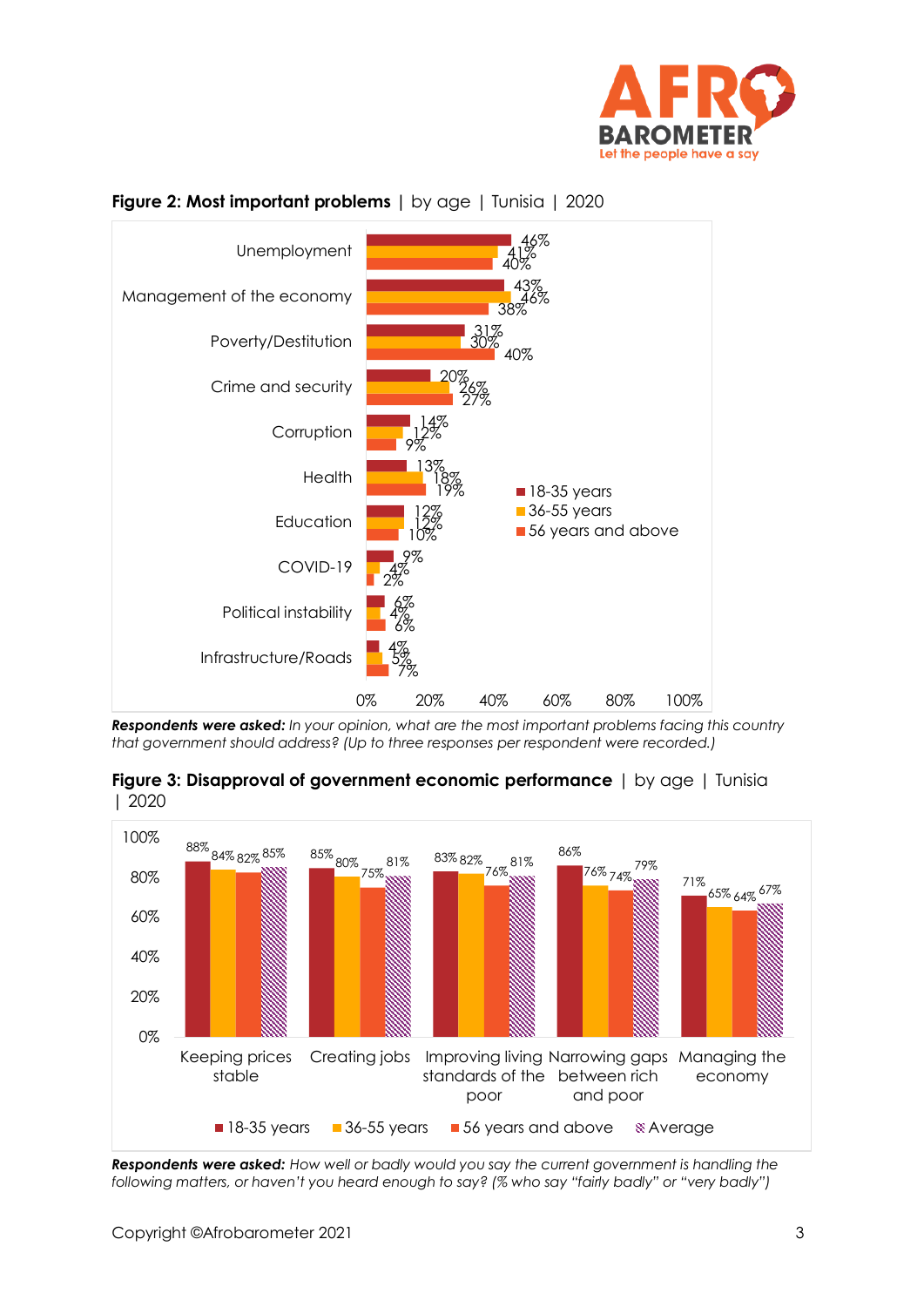



#### **Figure 2: Most important problems |** by age | Tunisia | 2020

*Respondents were asked: In your opinion, what are the most important problems facing this country that government should address? (Up to three responses per respondent were recorded.)*

**Figure 3: Disapproval of government economic performance** | by age | Tunisia | 2020



*Respondents were asked: How well or badly would you say the current government is handling the following matters, or haven't you heard enough to say? (% who say "fairly badly" or "very badly")*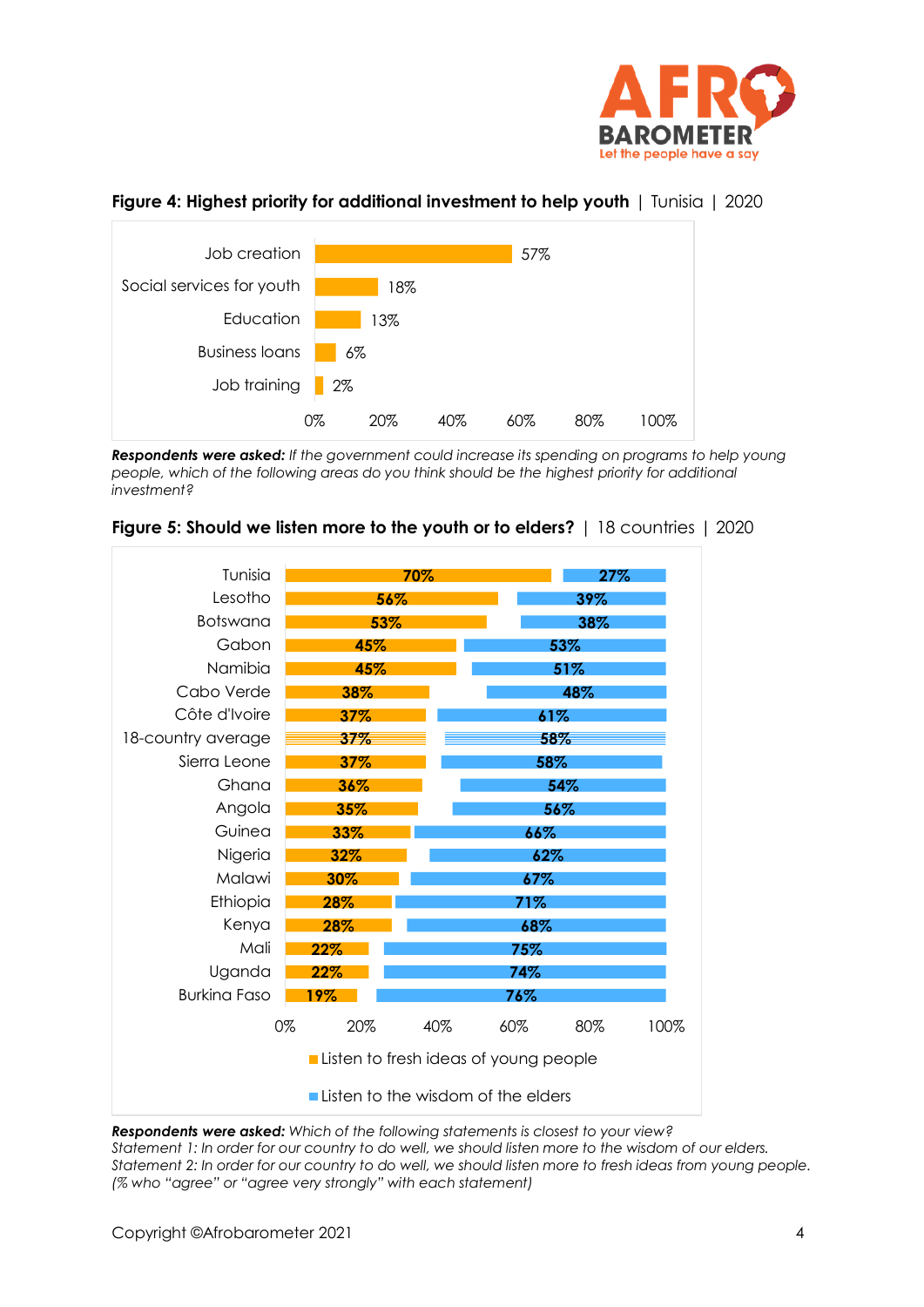

#### **Figure 4: Highest priority for additional investment to help youth** | Tunisia | 2020



*Respondents were asked: If the government could increase its spending on programs to help young people, which of the following areas do you think should be the highest priority for additional investment?*



#### **Figure 5: Should we listen more to the youth or to elders?** | 18 countries | 2020

*Respondents were asked: Which of the following statements is closest to your view? Statement 1: In order for our country to do well, we should listen more to the wisdom of our elders. Statement 2: In order for our country to do well, we should listen more to fresh ideas from young people. (% who "agree" or "agree very strongly" with each statement)*